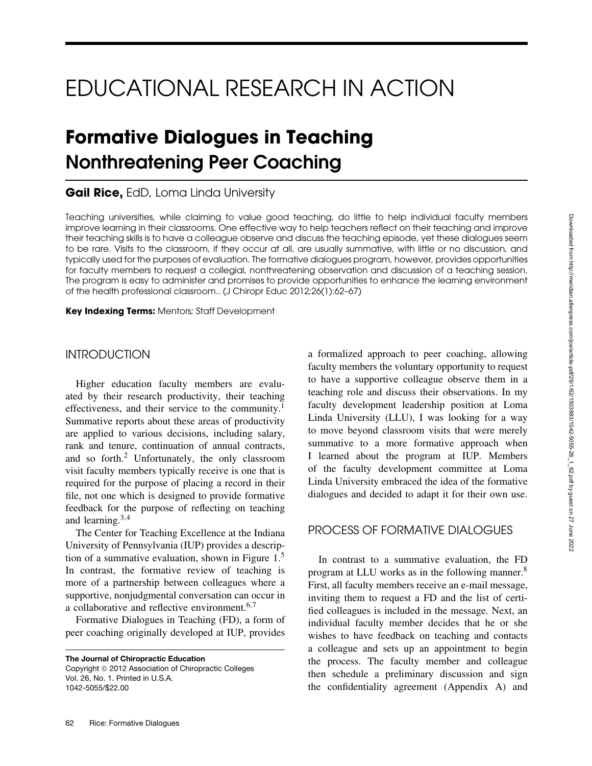# EDUCATIONAL RESEARCH IN ACTION

# **Formative Dialogues in Teaching Nonthreatening Peer Coaching**

**Gail Rice,** EdD, Loma Linda University

Teaching universities, while claiming to value good teaching, do little to help individual faculty members improve learning in their classrooms. One effective way to help teachers reflect on their teaching and improve their teaching skills is to have a colleague observe and discuss the teaching episode, yet these dialogues seem to be rare. Visits to the classroom, if they occur at all, are usually summative, with little or no discussion, and typically used for the purposes of evaluation. The formative dialogues program, however, provides opportunities for faculty members to request a collegial, nonthreatening observation and discussion of a teaching session. The program is easy to administer and promises to provide opportunities to enhance the learning environment of the health professional classroom.. (J Chiropr Educ 2012;26(1):62–67)

**Key Indexing Terms:** Mentors; Staff Development

# INTRODUCTION

Higher education faculty members are evaluated by their research productivity, their teaching effectiveness, and their service to the community.<sup>1</sup> Summative reports about these areas of productivity are applied to various decisions, including salary, rank and tenure, continuation of annual contracts, and so forth.2 Unfortunately, the only classroom visit faculty members typically receive is one that is required for the purpose of placing a record in their file, not one which is designed to provide formative feedback for the purpose of reflecting on teaching and learning. $3,4$ 

The Center for Teaching Excellence at the Indiana University of Pennsylvania (IUP) provides a description of a summative evaluation, shown in Figure  $1<sup>5</sup>$ In contrast, the formative review of teaching is more of a partnership between colleagues where a supportive, nonjudgmental conversation can occur in a collaborative and reflective environment.6,<sup>7</sup>

Formative Dialogues in Teaching (FD), a form of peer coaching originally developed at IUP, provides

**The Journal of Chiropractic Education** Copyright 2012 Association of Chiropractic Colleges Vol. 26, No. 1. Printed in U.S.A. 1042-5055/\$22.00

a formalized approach to peer coaching, allowing faculty members the voluntary opportunity to request to have a supportive colleague observe them in a teaching role and discuss their observations. In my faculty development leadership position at Loma Linda University (LLU), I was looking for a way to move beyond classroom visits that were merely summative to a more formative approach when I learned about the program at IUP. Members of the faculty development committee at Loma Linda University embraced the idea of the formative dialogues and decided to adapt it for their own use.

# PROCESS OF FORMATIVE DIALOGUES

In contrast to a summative evaluation, the FD program at LLU works as in the following manner.8 First, all faculty members receive an e-mail message, inviting them to request a FD and the list of certified colleagues is included in the message. Next, an individual faculty member decides that he or she wishes to have feedback on teaching and contacts a colleague and sets up an appointment to begin the process. The faculty member and colleague then schedule a preliminary discussion and sign the confidentiality agreement (Appendix A) and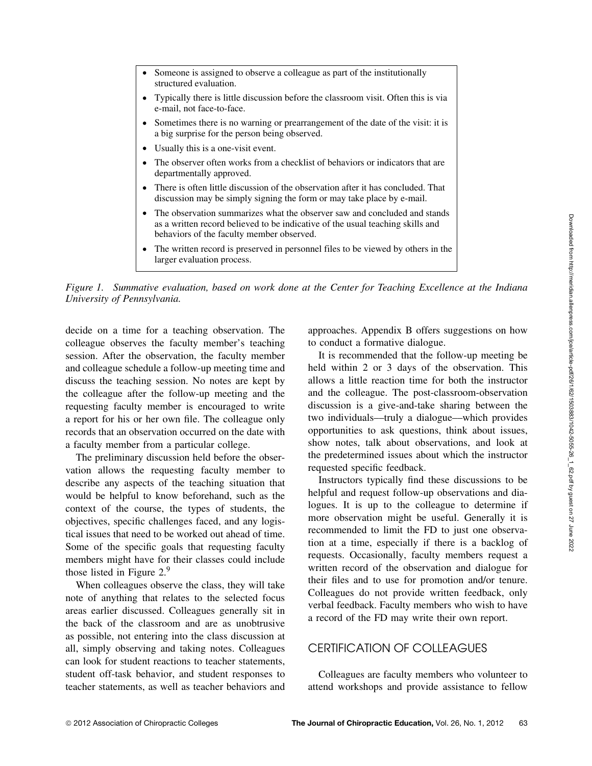| • Someone is assigned to observe a colleague as part of the institutionally<br>structured evaluation.                                                        |
|--------------------------------------------------------------------------------------------------------------------------------------------------------------|
| • Typically there is little discussion before the classroom visit. Often this is via<br>e-mail, not face-to-face.                                            |
| • Sometimes there is no warning or prearrangement of the date of the visit: it is<br>a big surprise for the person being observed.                           |
| • Usually this is a one-visit event.                                                                                                                         |
| • The observer often works from a checklist of behaviors or indicators that are<br>departmentally approved.                                                  |
| • There is often little discussion of the observation after it has concluded. That<br>discussion may be simply signing the form or may take place by e-mail. |
|                                                                                                                                                              |

- The observation summarizes what the observer saw and concluded and stands as a written record believed to be indicative of the usual teaching skills and behaviors of the faculty member observed.
- The written record is preserved in personnel files to be viewed by others in the larger evaluation process.

*Figure 1. Summative evaluation, based on work done at the Center for Teaching Excellence at the Indiana University of Pennsylvania. .*

decide on a time for a teaching observation. The colleague observes the faculty member's teaching session. After the observation, the faculty member and colleague schedule a follow-up meeting time and discuss the teaching session. No notes are kept by the colleague after the follow-up meeting and the requesting faculty member is encouraged to write a report for his or her own file. The colleague only records that an observation occurred on the date with a faculty member from a particular college.

The preliminary discussion held before the observation allows the requesting faculty member to describe any aspects of the teaching situation that would be helpful to know beforehand, such as the context of the course, the types of students, the objectives, specific challenges faced, and any logistical issues that need to be worked out ahead of time. Some of the specific goals that requesting faculty members might have for their classes could include those listed in Figure 2.9

When colleagues observe the class, they will take note of anything that relates to the selected focus areas earlier discussed. Colleagues generally sit in the back of the classroom and are as unobtrusive as possible, not entering into the class discussion at all, simply observing and taking notes. Colleagues can look for student reactions to teacher statements, student off-task behavior, and student responses to teacher statements, as well as teacher behaviors and approaches. Appendix B offers suggestions on how to conduct a formative dialogue.

It is recommended that the follow-up meeting be held within 2 or 3 days of the observation. This allows a little reaction time for both the instructor and the colleague. The post-classroom-observation discussion is a give-and-take sharing between the two individuals––truly a dialogue––which provides opportunities to ask questions, think about issues, show notes, talk about observations, and look at the predetermined issues about which the instructor requested specific feedback.

Instructors typically find these discussions to be helpful and request follow-up observations and dialogues. It is up to the colleague to determine if more observation might be useful. Generally it is recommended to limit the FD to just one observation at a time, especially if there is a backlog of requests. Occasionally, faculty members request a written record of the observation and dialogue for their files and to use for promotion and/or tenure. Colleagues do not provide written feedback, only verbal feedback. Faculty members who wish to have a record of the FD may write their own report.

# CERTIFICATION OF COLLEAGUES

Colleagues are faculty members who volunteer to attend workshops and provide assistance to fellow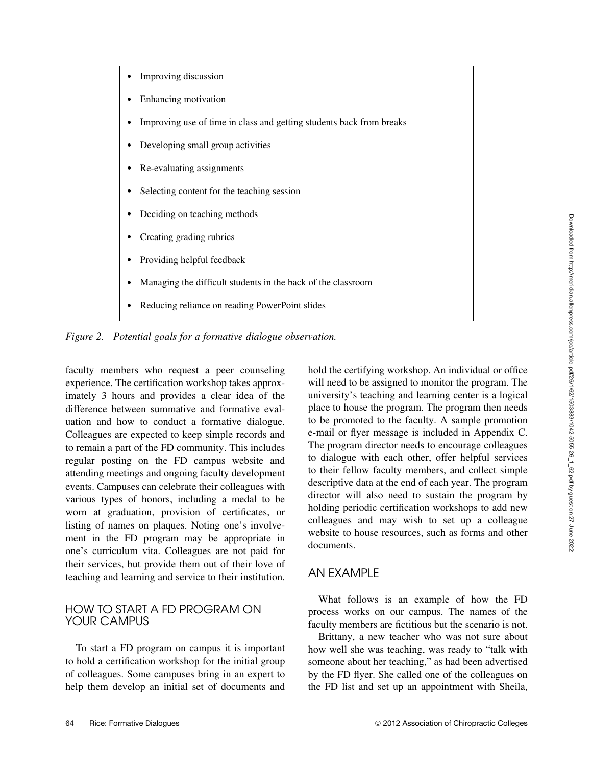- Improving discussion
- Enhancing motivation
- Improving use of time in class and getting students back from breaks
- Developing small group activities
- Re-evaluating assignments
- Selecting content for the teaching session
- Deciding on teaching methods
- Creating grading rubrics
- Providing helpful feedback
- Managing the difficult students in the back of the classroom
- Reducing reliance on reading PowerPoint slides

*Figure 2. Potential goals for a formative dialogue observation.*

faculty members who request a peer counseling experience. The certification workshop takes approximately 3 hours and provides a clear idea of the difference between summative and formative evaluation and how to conduct a formative dialogue. Colleagues are expected to keep simple records and to remain a part of the FD community. This includes regular posting on the FD campus website and attending meetings and ongoing faculty development events. Campuses can celebrate their colleagues with various types of honors, including a medal to be worn at graduation, provision of certificates, or listing of names on plaques. Noting one's involvement in the FD program may be appropriate in one's curriculum vita. Colleagues are not paid for their services, but provide them out of their love of teaching and learning and service to their institution.

#### HOW TO START A FD PROGRAM ON YOUR CAMPUS

To start a FD program on campus it is important to hold a certification workshop for the initial group of colleagues. Some campuses bring in an expert to help them develop an initial set of documents and hold the certifying workshop. An individual or office will need to be assigned to monitor the program. The university's teaching and learning center is a logical place to house the program. The program then needs to be promoted to the faculty. A sample promotion e-mail or flyer message is included in Appendix C. The program director needs to encourage colleagues to dialogue with each other, offer helpful services to their fellow faculty members, and collect simple descriptive data at the end of each year. The program director will also need to sustain the program by holding periodic certification workshops to add new colleagues and may wish to set up a colleague website to house resources, such as forms and other documents.

#### AN EXAMPLE

What follows is an example of how the FD process works on our campus. The names of the faculty members are fictitious but the scenario is not.

Brittany, a new teacher who was not sure about how well she was teaching, was ready to "talk with someone about her teaching," as had been advertised by the FD flyer. She called one of the colleagues on the FD list and set up an appointment with Sheila,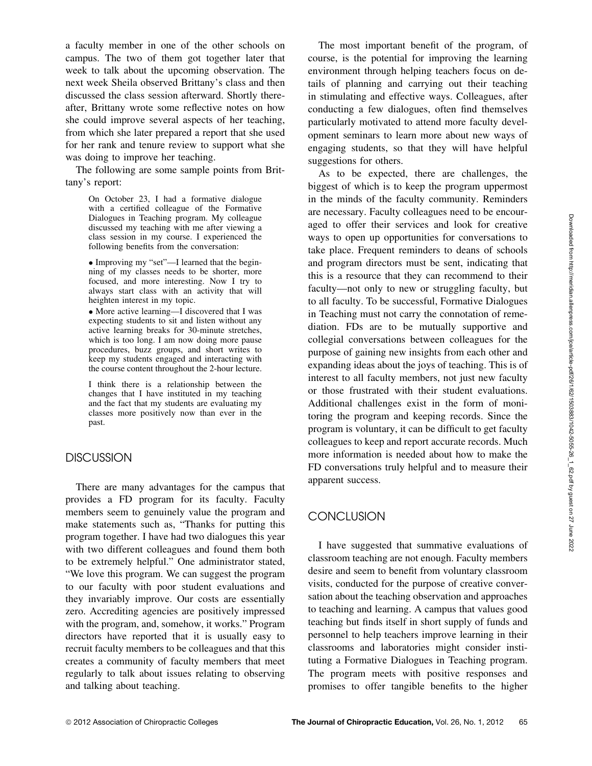a faculty member in one of the other schools on campus. The two of them got together later that week to talk about the upcoming observation. The next week Sheila observed Brittany's class and then discussed the class session afterward. Shortly thereafter, Brittany wrote some reflective notes on how she could improve several aspects of her teaching, from which she later prepared a report that she used for her rank and tenure review to support what she was doing to improve her teaching.

The following are some sample points from Brittany's report:

> On October 23, I had a formative dialogue with a certified colleague of the Formative Dialogues in Teaching program. My colleague discussed my teaching with me after viewing a class session in my course. I experienced the following benefits from the conversation:

> • Improving my "set"—I learned that the beginning of my classes needs to be shorter, more focused, and more interesting. Now I try to always start class with an activity that will heighten interest in my topic.

> • More active learning—I discovered that I was expecting students to sit and listen without any active learning breaks for 30-minute stretches, which is too long. I am now doing more pause procedures, buzz groups, and short writes to keep my students engaged and interacting with the course content throughout the 2-hour lecture.

> I think there is a relationship between the changes that I have instituted in my teaching and the fact that my students are evaluating my classes more positively now than ever in the past.

#### **DISCUSSION**

There are many advantages for the campus that provides a FD program for its faculty. Faculty members seem to genuinely value the program and make statements such as, "Thanks for putting this program together. I have had two dialogues this year with two different colleagues and found them both to be extremely helpful." One administrator stated, "We love this program. We can suggest the program to our faculty with poor student evaluations and they invariably improve. Our costs are essentially zero. Accrediting agencies are positively impressed with the program, and, somehow, it works." Program directors have reported that it is usually easy to recruit faculty members to be colleagues and that this creates a community of faculty members that meet regularly to talk about issues relating to observing and talking about teaching.

The most important benefit of the program, of course, is the potential for improving the learning environment through helping teachers focus on details of planning and carrying out their teaching in stimulating and effective ways. Colleagues, after conducting a few dialogues, often find themselves particularly motivated to attend more faculty development seminars to learn more about new ways of engaging students, so that they will have helpful suggestions for others.

As to be expected, there are challenges, the biggest of which is to keep the program uppermost in the minds of the faculty community. Reminders are necessary. Faculty colleagues need to be encouraged to offer their services and look for creative ways to open up opportunities for conversations to take place. Frequent reminders to deans of schools and program directors must be sent, indicating that this is a resource that they can recommend to their faculty––not only to new or struggling faculty, but to all faculty. To be successful, Formative Dialogues in Teaching must not carry the connotation of remediation. FDs are to be mutually supportive and collegial conversations between colleagues for the purpose of gaining new insights from each other and expanding ideas about the joys of teaching. This is of interest to all faculty members, not just new faculty or those frustrated with their student evaluations. Additional challenges exist in the form of monitoring the program and keeping records. Since the program is voluntary, it can be difficult to get faculty colleagues to keep and report accurate records. Much more information is needed about how to make the FD conversations truly helpful and to measure their apparent success.

## **CONCLUSION**

I have suggested that summative evaluations of classroom teaching are not enough. Faculty members desire and seem to benefit from voluntary classroom visits, conducted for the purpose of creative conversation about the teaching observation and approaches to teaching and learning. A campus that values good teaching but finds itself in short supply of funds and personnel to help teachers improve learning in their classrooms and laboratories might consider instituting a Formative Dialogues in Teaching program. The program meets with positive responses and promises to offer tangible benefits to the higher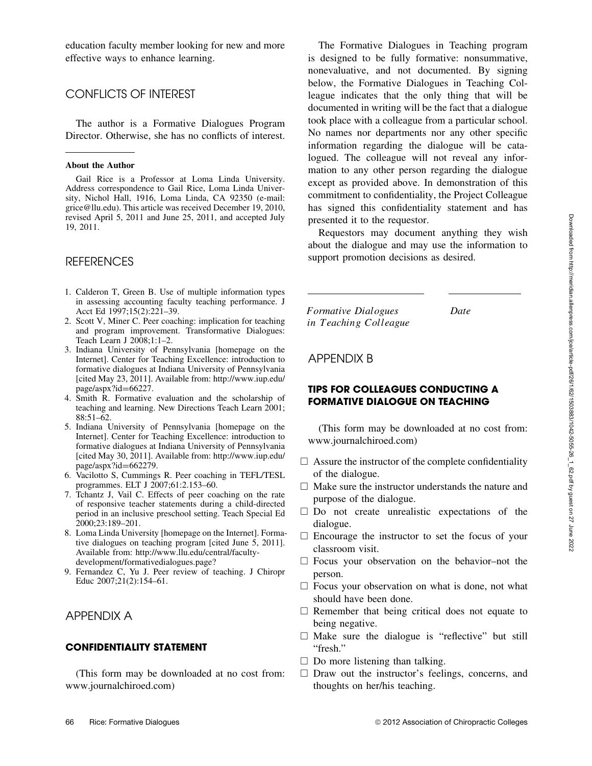education faculty member looking for new and more effective ways to enhance learning.

## CONFLICTS OF INTEREST

The author is a Formative Dialogues Program Director. Otherwise, she has no conflicts of interest.

#### **About the Author**

Gail Rice is a Professor at Loma Linda University. Address correspondence to Gail Rice, Loma Linda University, Nichol Hall, 1916, Loma Linda, CA 92350 (e-mail: grice@llu.edu). This article was received December 19, 2010, revised April 5, 2011 and June 25, 2011, and accepted July 19, 2011.

## **REFERENCES**

- 1. Calderon T, Green B. Use of multiple information types in assessing accounting faculty teaching performance. J Acct Ed 1997;15(2):221–39.
- 2. Scott V, Miner C. Peer coaching: implication for teaching and program improvement. Transformative Dialogues: Teach Learn J 2008;1:1–2.
- 3. Indiana University of Pennsylvania [homepage on the Internet]. Center for Teaching Excellence: introduction to formative dialogues at Indiana University of Pennsylvania [cited May 23, 2011]. Available from: http://www.iup.edu/ page/aspx?id=66227.
- 4. Smith R. Formative evaluation and the scholarship of teaching and learning. New Directions Teach Learn 2001; 88:51–62.
- 5. Indiana University of Pennsylvania [homepage on the Internet]. Center for Teaching Excellence: introduction to formative dialogues at Indiana University of Pennsylvania [cited May 30, 2011]. Available from: http://www.iup.edu/ page/aspx?id=662279.
- 6. Vacilotto S, Cummings R. Peer coaching in TEFL/TESL programmes. ELT J 2007;61:2.153–60.
- 7. Tchantz J, Vail C. Effects of peer coaching on the rate of responsive teacher statements during a child-directed period in an inclusive preschool setting. Teach Special Ed 2000;23:189–201.
- 8. Loma Linda University [homepage on the Internet]. Formative dialogues on teaching program [cited June 5, 2011]. Available from: http://www.llu.edu/central/facultydevelopment/formativedialogues.page?
- 9. Fernandez C, Yu J. Peer review of teaching. J Chiropr Educ 2007;21(2):154–61.

# APPENDIX A

#### **CONFIDENTIALITY STATEMENT**

(This form may be downloaded at no cost from: www.journalchiroed.com)

The Formative Dialogues in Teaching program is designed to be fully formative: nonsummative, nonevaluative, and not documented. By signing below, the Formative Dialogues in Teaching Colleague indicates that the only thing that will be documented in writing will be the fact that a dialogue took place with a colleague from a particular school. No names nor departments nor any other specific information regarding the dialogue will be catalogued. The colleague will not reveal any information to any other person regarding the dialogue except as provided above. In demonstration of this commitment to confidentiality, the Project Colleague has signed this confidentiality statement and has presented it to the requestor.

Requestors may document anything they wish about the dialogue and may use the information to support promotion decisions as desired.

Formative Dialogues Date in Teaching Colleague

#### APPENDIX B

#### **TIPS FOR COLLEAGUES CONDUCTING A FORMATIVE DIALOGUE ON TEACHING**

(This form may be downloaded at no cost from: www.journalchiroed.com)

- $\Box$  Assure the instructor of the complete confidentiality of the dialogue.
- $\Box$  Make sure the instructor understands the nature and purpose of the dialogue.
- $\square$  Do not create unrealistic expectations of the dialogue.
- $\Box$  Encourage the instructor to set the focus of your classroom visit.
- $\Box$  Focus your observation on the behavior–not the person.
- $\Box$  Focus your observation on what is done, not what should have been done.
- $\Box$  Remember that being critical does not equate to being negative.
- $\Box$  Make sure the dialogue is "reflective" but still "fresh."
- $\Box$  Do more listening than talking.
- $\Box$  Draw out the instructor's feelings, concerns, and thoughts on her/his teaching.